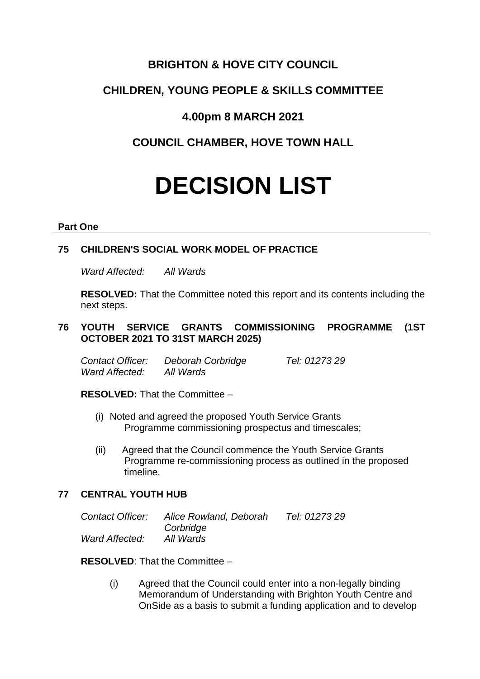# **BRIGHTON & HOVE CITY COUNCIL**

# **CHILDREN, YOUNG PEOPLE & SKILLS COMMITTEE**

# **4.00pm 8 MARCH 2021**

# **COUNCIL CHAMBER, HOVE TOWN HALL**

# **DECISION LIST**

## **Part One**

# **75 CHILDREN'S SOCIAL WORK MODEL OF PRACTICE**

*Ward Affected: All Wards*

**RESOLVED:** That the Committee noted this report and its contents including the next steps.

# **76 YOUTH SERVICE GRANTS COMMISSIONING PROGRAMME (1ST OCTOBER 2021 TO 31ST MARCH 2025)**

*Contact Officer: Deborah Corbridge Tel: 01273 29 Ward Affected: All Wards*

**RESOLVED:** That the Committee –

- (i) Noted and agreed the proposed Youth Service Grants Programme commissioning prospectus and timescales;
- (ii) Agreed that the Council commence the Youth Service Grants Programme re-commissioning process as outlined in the proposed timeline.

# **77 CENTRAL YOUTH HUB**

| Contact Officer: | Alice Rowland, Deborah | Tel: 01273 29 |
|------------------|------------------------|---------------|
|                  | Corbridge              |               |
| Ward Affected:   | All Wards              |               |

**RESOLVED**: That the Committee –

(i) Agreed that the Council could enter into a non-legally binding Memorandum of Understanding with Brighton Youth Centre and OnSide as a basis to submit a funding application and to develop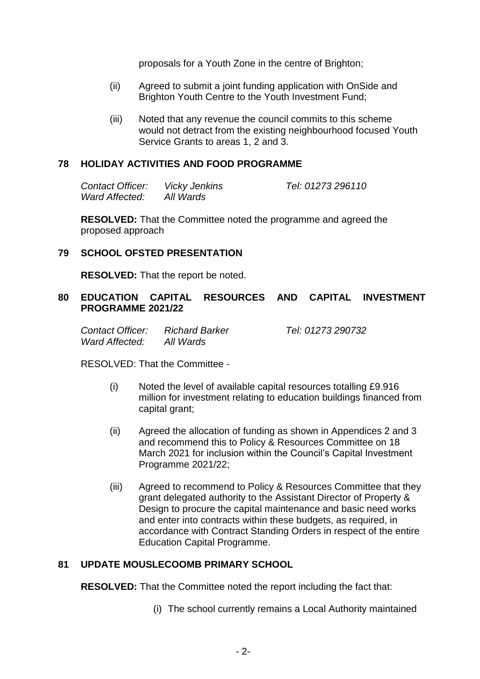proposals for a Youth Zone in the centre of Brighton;

- (ii) Agreed to submit a joint funding application with OnSide and Brighton Youth Centre to the Youth Investment Fund;
- (iii) Noted that any revenue the council commits to this scheme would not detract from the existing neighbourhood focused Youth Service Grants to areas 1, 2 and 3.

## **78 HOLIDAY ACTIVITIES AND FOOD PROGRAMME**

*Contact Officer: Vicky Jenkins Tel: 01273 296110 Ward Affected: All Wards*

**RESOLVED:** That the Committee noted the programme and agreed the proposed approach

## **79 SCHOOL OFSTED PRESENTATION**

**RESOLVED:** That the report be noted.

## **80 EDUCATION CAPITAL RESOURCES AND CAPITAL INVESTMENT PROGRAMME 2021/22**

*Contact Officer: Richard Barker Tel: 01273 290732 Ward Affected: All Wards*

RESOLVED: That the Committee -

- (i) Noted the level of available capital resources totalling £9.916 million for investment relating to education buildings financed from capital grant;
- (ii) Agreed the allocation of funding as shown in Appendices 2 and 3 and recommend this to Policy & Resources Committee on 18 March 2021 for inclusion within the Council's Capital Investment Programme 2021/22;
- (iii) Agreed to recommend to Policy & Resources Committee that they grant delegated authority to the Assistant Director of Property & Design to procure the capital maintenance and basic need works and enter into contracts within these budgets, as required, in accordance with Contract Standing Orders in respect of the entire Education Capital Programme.

## **81 UPDATE MOUSLECOOMB PRIMARY SCHOOL**

**RESOLVED:** That the Committee noted the report including the fact that:

(i) The school currently remains a Local Authority maintained